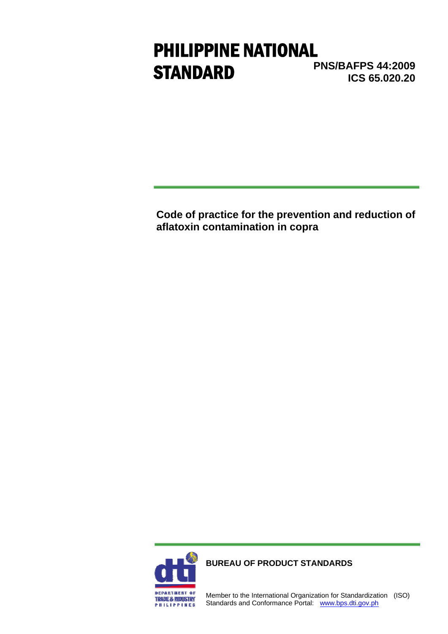# **PNS/BAFPS 44:2009 ICS 65.020.20** PHILIPPINE NATIONAL **STANDARD**

**Code of practice for the prevention and reduction of aflatoxin contamination in copra** 



**BUREAU OF PRODUCT STANDARDS**

Member to the International Organization for Standardization (ISO) Standards and Conformance Portal: www.bps.dti.gov.ph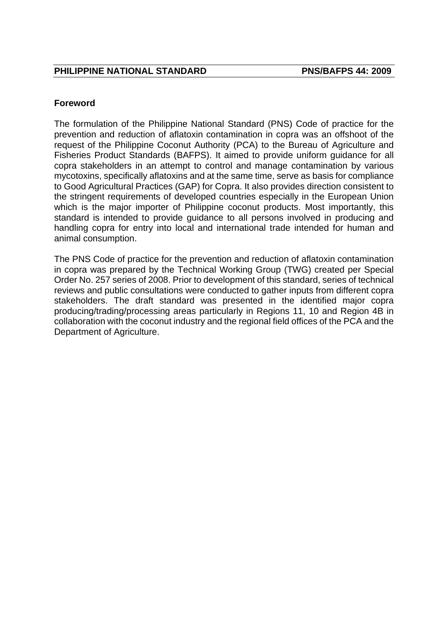#### **Foreword**

The formulation of the Philippine National Standard (PNS) Code of practice for the prevention and reduction of aflatoxin contamination in copra was an offshoot of the request of the Philippine Coconut Authority (PCA) to the Bureau of Agriculture and Fisheries Product Standards (BAFPS). It aimed to provide uniform guidance for all copra stakeholders in an attempt to control and manage contamination by various mycotoxins, specifically aflatoxins and at the same time, serve as basis for compliance to Good Agricultural Practices (GAP) for Copra. It also provides direction consistent to the stringent requirements of developed countries especially in the European Union which is the major importer of Philippine coconut products. Most importantly, this standard is intended to provide guidance to all persons involved in producing and handling copra for entry into local and international trade intended for human and animal consumption.

The PNS Code of practice for the prevention and reduction of aflatoxin contamination in copra was prepared by the Technical Working Group (TWG) created per Special Order No. 257 series of 2008. Prior to development of this standard, series of technical reviews and public consultations were conducted to gather inputs from different copra stakeholders. The draft standard was presented in the identified major copra producing/trading/processing areas particularly in Regions 11, 10 and Region 4B in collaboration with the coconut industry and the regional field offices of the PCA and the Department of Agriculture.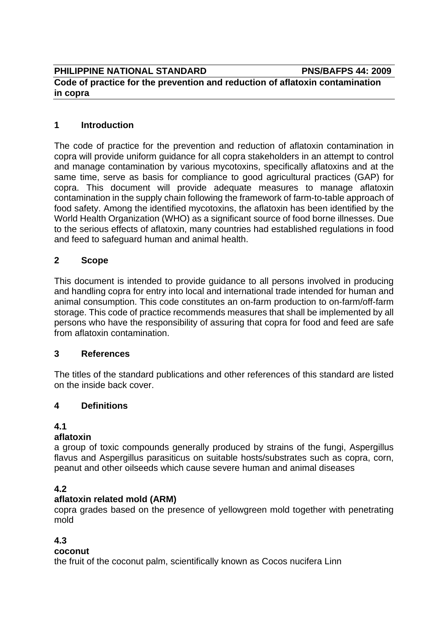**PHILIPPINE NATIONAL STANDARD PNS/BAFPS 44: 2009** 

# **Code of practice for the prevention and reduction of aflatoxin contamination in copra**

# **1 Introduction**

The code of practice for the prevention and reduction of aflatoxin contamination in copra will provide uniform guidance for all copra stakeholders in an attempt to control and manage contamination by various mycotoxins, specifically aflatoxins and at the same time, serve as basis for compliance to good agricultural practices (GAP) for copra. This document will provide adequate measures to manage aflatoxin contamination in the supply chain following the framework of farm-to-table approach of food safety. Among the identified mycotoxins, the aflatoxin has been identified by the World Health Organization (WHO) as a significant source of food borne illnesses. Due to the serious effects of aflatoxin, many countries had established regulations in food and feed to safeguard human and animal health.

## **2 Scope**

This document is intended to provide guidance to all persons involved in producing and handling copra for entry into local and international trade intended for human and animal consumption. This code constitutes an on-farm production to on-farm/off-farm storage. This code of practice recommends measures that shall be implemented by all persons who have the responsibility of assuring that copra for food and feed are safe from aflatoxin contamination.

#### **3 References**

The titles of the standard publications and other references of this standard are listed on the inside back cover.

#### **4 Definitions**

# **4.1**

#### **aflatoxin**

a group of toxic compounds generally produced by strains of the fungi, Aspergillus flavus and Aspergillus parasiticus on suitable hosts/substrates such as copra, corn, peanut and other oilseeds which cause severe human and animal diseases

# **4.2**

# **aflatoxin related mold (ARM)**

copra grades based on the presence of yellowgreen mold together with penetrating mold

# **4.3**

# **coconut**

the fruit of the coconut palm, scientifically known as Cocos nucifera Linn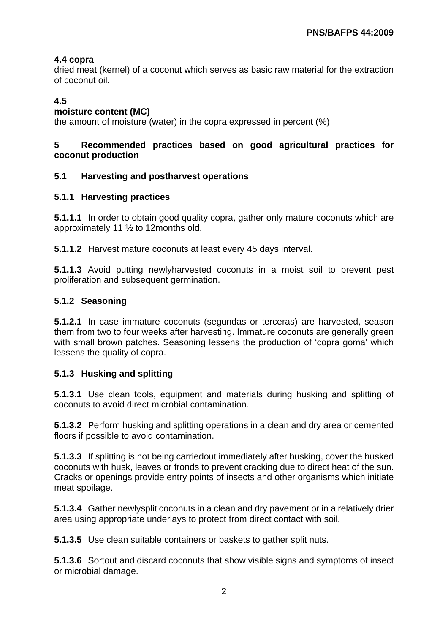# **4.4 copra**

dried meat (kernel) of a coconut which serves as basic raw material for the extraction of coconut oil.

# **4.5**

## **moisture content (MC)**

the amount of moisture (water) in the copra expressed in percent (%)

# **5 Recommended practices based on good agricultural practices for coconut production**

## **5.1 Harvesting and postharvest operations**

## **5.1.1 Harvesting practices**

**5.1.1.1** In order to obtain good quality copra, gather only mature coconuts which are approximately 11 ½ to 12months old.

**5.1.1.2** Harvest mature coconuts at least every 45 days interval.

**5.1.1.3** Avoid putting newlyharvested coconuts in a moist soil to prevent pest proliferation and subsequent germination.

## **5.1.2 Seasoning**

**5.1.2.1** In case immature coconuts (segundas or terceras) are harvested, season them from two to four weeks after harvesting. Immature coconuts are generally green with small brown patches. Seasoning lessens the production of 'copra goma' which lessens the quality of copra.

# **5.1.3 Husking and splitting**

**5.1.3.1** Use clean tools, equipment and materials during husking and splitting of coconuts to avoid direct microbial contamination.

**5.1.3.2** Perform husking and splitting operations in a clean and dry area or cemented floors if possible to avoid contamination.

**5.1.3.3** If splitting is not being carriedout immediately after husking, cover the husked coconuts with husk, leaves or fronds to prevent cracking due to direct heat of the sun. Cracks or openings provide entry points of insects and other organisms which initiate meat spoilage.

**5.1.3.4** Gather newlysplit coconuts in a clean and dry pavement or in a relatively drier area using appropriate underlays to protect from direct contact with soil.

**5.1.3.5** Use clean suitable containers or baskets to gather split nuts.

**5.1.3.6** Sortout and discard coconuts that show visible signs and symptoms of insect or microbial damage.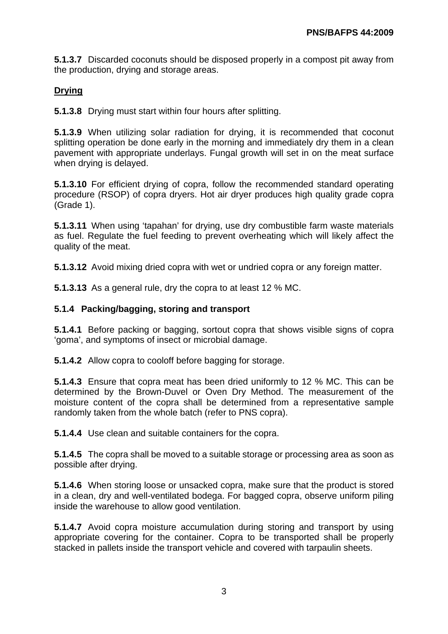**5.1.3.7** Discarded coconuts should be disposed properly in a compost pit away from the production, drying and storage areas.

# **Drying**

**5.1.3.8** Drying must start within four hours after splitting.

**5.1.3.9** When utilizing solar radiation for drying, it is recommended that coconut splitting operation be done early in the morning and immediately dry them in a clean pavement with appropriate underlays. Fungal growth will set in on the meat surface when drying is delayed.

**5.1.3.10** For efficient drying of copra, follow the recommended standard operating procedure (RSOP) of copra dryers. Hot air dryer produces high quality grade copra (Grade 1).

**5.1.3.11** When using 'tapahan' for drying, use dry combustible farm waste materials as fuel. Regulate the fuel feeding to prevent overheating which will likely affect the quality of the meat.

**5.1.3.12** Avoid mixing dried copra with wet or undried copra or any foreign matter.

**5.1.3.13** As a general rule, dry the copra to at least 12 % MC.

#### **5.1.4 Packing/bagging, storing and transport**

**5.1.4.1** Before packing or bagging, sortout copra that shows visible signs of copra 'goma', and symptoms of insect or microbial damage.

**5.1.4.2** Allow copra to cooloff before bagging for storage.

**5.1.4.3** Ensure that copra meat has been dried uniformly to 12 % MC. This can be determined by the Brown-Duvel or Oven Dry Method. The measurement of the moisture content of the copra shall be determined from a representative sample randomly taken from the whole batch (refer to PNS copra).

**5.1.4.4** Use clean and suitable containers for the copra.

**5.1.4.5** The copra shall be moved to a suitable storage or processing area as soon as possible after drying.

**5.1.4.6** When storing loose or unsacked copra, make sure that the product is stored in a clean, dry and well-ventilated bodega. For bagged copra, observe uniform piling inside the warehouse to allow good ventilation.

**5.1.4.7** Avoid copra moisture accumulation during storing and transport by using appropriate covering for the container. Copra to be transported shall be properly stacked in pallets inside the transport vehicle and covered with tarpaulin sheets.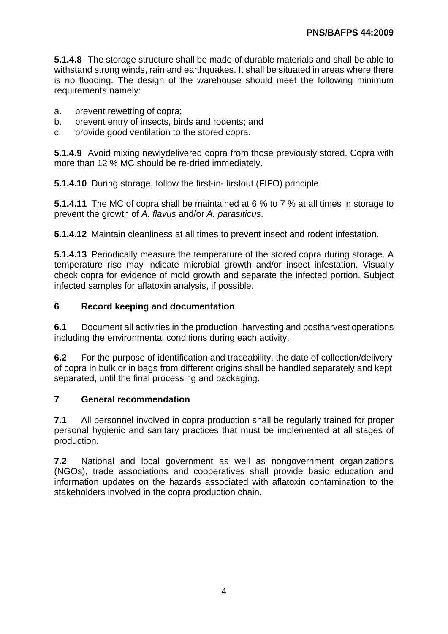**5.1.4.8** The storage structure shall be made of durable materials and shall be able to withstand strong winds, rain and earthquakes. It shall be situated in areas where there is no flooding. The design of the warehouse should meet the following minimum requirements namely:

- a. prevent rewetting of copra;
- b. prevent entry of insects, birds and rodents; and
- c. provide good ventilation to the stored copra.

**5.1.4.9** Avoid mixing newlydelivered copra from those previously stored. Copra with more than 12 % MC should be re-dried immediately.

**5.1.4.10** During storage, follow the first-in- firstout (FIFO) principle.

**5.1.4.11** The MC of copra shall be maintained at 6 % to 7 % at all times in storage to prevent the growth of *A. flavus* and/or *A. parasiticus*.

**5.1.4.12** Maintain cleanliness at all times to prevent insect and rodent infestation.

**5.1.4.13** Periodically measure the temperature of the stored copra during storage. A temperature rise may indicate microbial growth and/or insect infestation. Visually check copra for evidence of mold growth and separate the infected portion. Subject infected samples for aflatoxin analysis, if possible.

## **6 Record keeping and documentation**

**6.1** Document all activities in the production, harvesting and postharvest operations including the environmental conditions during each activity.

**6.2** For the purpose of identification and traceability, the date of collection/delivery of copra in bulk or in bags from different origins shall be handled separately and kept separated, until the final processing and packaging.

#### **7 General recommendation**

**7.1** All personnel involved in copra production shall be regularly trained for proper personal hygienic and sanitary practices that must be implemented at all stages of production.

**7.2** National and local government as well as nongovernment organizations (NGOs), trade associations and cooperatives shall provide basic education and information updates on the hazards associated with aflatoxin contamination to the stakeholders involved in the copra production chain.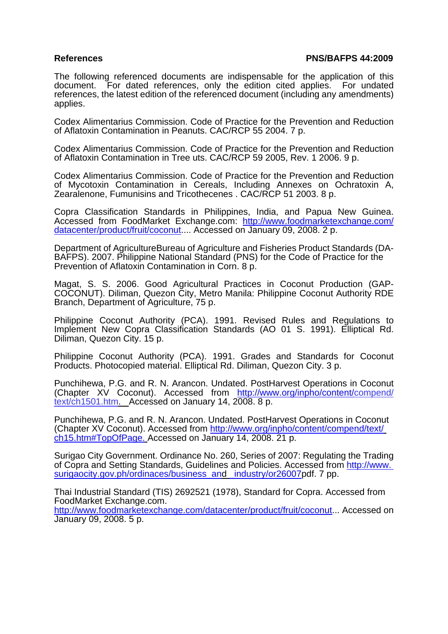#### **References PNS/BAFPS 44:2009**

The following referenced documents are indispensable for the application of this document. For dated references, only the edition cited applies. For undated references, the latest edition of the referenced document (including any amendments) applies.

Codex Alimentarius Commission. Code of Practice for the Prevention and Reduction of Aflatoxin Contamination in Peanuts. CAC/RCP 55 2004. 7 p.

Codex Alimentarius Commission. Code of Practice for the Prevention and Reduction of Aflatoxin Contamination in Tree uts. CAC/RCP 59 2005, Rev. 1 2006. 9 p.

Codex Alimentarius Commission. Code of Practice for the Prevention and Reduction of Mycotoxin Contamination in Cereals, Including Annexes on Ochratoxin A, Zearalenone, Fumunisins and Tricothecenes . CAC/RCP 51 2003. 8 p.

Copra Classification Standards in Philippines, India, and Papua New Guinea. Accessed from FoodMarket Exchange.com: http://www.foodmarketexchange.com/ datacenter/product/fruit/coconut.... Accessed on January 09, 2008. 2 p.

Department of AgricultureBureau of Agriculture and Fisheries Product Standards (DA-BAFPS). 2007. Philippine National Standard (PNS) for the Code of Practice for the Prevention of Aflatoxin Contamination in Corn. 8 p.

Magat, S. S. 2006. Good Agricultural Practices in Coconut Production (GAP-COCONUT). Diliman, Quezon City, Metro Manila: Philippine Coconut Authority RDE Branch, Department of Agriculture, 75 p.

Philippine Coconut Authority (PCA). 1991. Revised Rules and Regulations to Implement New Copra Classification Standards (AO 01 S. 1991). Elliptical Rd. Diliman, Quezon City. 15 p.

Philippine Coconut Authority (PCA). 1991. Grades and Standards for Coconut Products. Photocopied material. Elliptical Rd. Diliman, Quezon City. 3 p.

Punchihewa, P.G. and R. N. Arancon. Undated. PostHarvest Operations in Coconut (Chapter XV Coconut). Accessed from http://www.org/inpho/content/compend/ text/ch1501.htm. Accessed on January 14, 2008. 8 p.

Punchihewa, P.G. and R. N. Arancon. Undated. PostHarvest Operations in Coconut (Chapter XV Coconut). Accessed from http://www.org/inpho/content/compend/text/ ch15.htm#TopOfPage. Accessed on January 14, 2008. 21 p.

Surigao City Government. Ordinance No. 260, Series of 2007: Regulating the Trading of Copra and Setting Standards, Guidelines and Policies. Accessed from http://www. surigaocity.gov.ph/ordinaces/business\_and \_industry/or26007pdf. 7 pp.

Thai Industrial Standard (TIS) 2692521 (1978), Standard for Copra. Accessed from FoodMarket Exchange.com.

http://www.foodmarketexchange.com/datacenter/product/fruit/coconut... Accessed on January 09, 2008. 5 p.